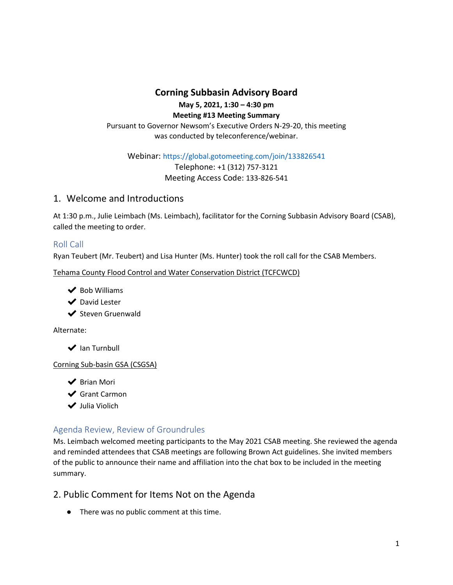### **Corning Subbasin Advisory Board May 5, 2021, 1:30 – 4:30 pm Meeting #13 Meeting Summary** Pursuant to Governor Newsom's Executive Orders N-29-20, this meeting was conducted by teleconference/webinar.

Webinar: https://global.gotomeeting.com/join/133826541

Telephone: +1 (312) 757-3121 Meeting Access Code: 133-826-541

# 1. Welcome and Introductions

At 1:30 p.m., Julie Leimbach (Ms. Leimbach), facilitator for the Corning Subbasin Advisory Board (CSAB), called the meeting to order.

### Roll Call

Ryan Teubert (Mr. Teubert) and Lisa Hunter (Ms. Hunter) took the roll call for the CSAB Members.

Tehama County Flood Control and Water Conservation District (TCFCWCD)

- $\blacktriangleright$  Bob Williams
- ◆ David Lester
- ◆ Steven Gruenwald

Alternate:

**◆** Ian Turnbull

Corning Sub-basin GSA (CSGSA)

- ◆ Brian Mori
- **◆** Grant Carmon
- ✔ Julia Violich

### Agenda Review, Review of Groundrules

Ms. Leimbach welcomed meeting participants to the May 2021 CSAB meeting. She reviewed the agenda and reminded attendees that CSAB meetings are following Brown Act guidelines. She invited members of the public to announce their name and affiliation into the chat box to be included in the meeting summary.

## 2. Public Comment for Items Not on the Agenda

● There was no public comment at this time.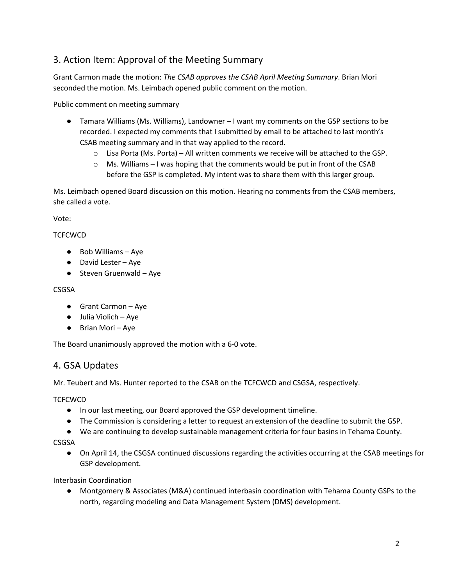# 3. Action Item: Approval of the Meeting Summary

Grant Carmon made the motion: *The CSAB approves the CSAB April Meeting Summary*. Brian Mori seconded the motion. Ms. Leimbach opened public comment on the motion.

Public comment on meeting summary

- Tamara Williams (Ms. Williams), Landowner I want my comments on the GSP sections to be recorded. I expected my comments that I submitted by email to be attached to last month's CSAB meeting summary and in that way applied to the record.
	- $\circ$  Lisa Porta (Ms. Porta) All written comments we receive will be attached to the GSP.
	- $\circ$  Ms. Williams I was hoping that the comments would be put in front of the CSAB before the GSP is completed. My intent was to share them with this larger group.

Ms. Leimbach opened Board discussion on this motion. Hearing no comments from the CSAB members, she called a vote.

Vote:

**TCFCWCD** 

- Bob Williams Aye
- David Lester Aye
- $\bullet$  Steven Gruenwald Aye

#### CSGSA

- Grant Carmon Aye
- Julia Violich Aye
- Brian Mori Aye

The Board unanimously approved the motion with a 6-0 vote.

### 4. GSA Updates

Mr. Teubert and Ms. Hunter reported to the CSAB on the TCFCWCD and CSGSA, respectively.

#### **TCFCWCD**

- In our last meeting, our Board approved the GSP development timeline.
- The Commission is considering a letter to request an extension of the deadline to submit the GSP.
- We are continuing to develop sustainable management criteria for four basins in Tehama County.
- CSGSA
	- On April 14, the CSGSA continued discussions regarding the activities occurring at the CSAB meetings for GSP development.

Interbasin Coordination

● Montgomery & Associates (M&A) continued interbasin coordination with Tehama County GSPs to the north, regarding modeling and Data Management System (DMS) development.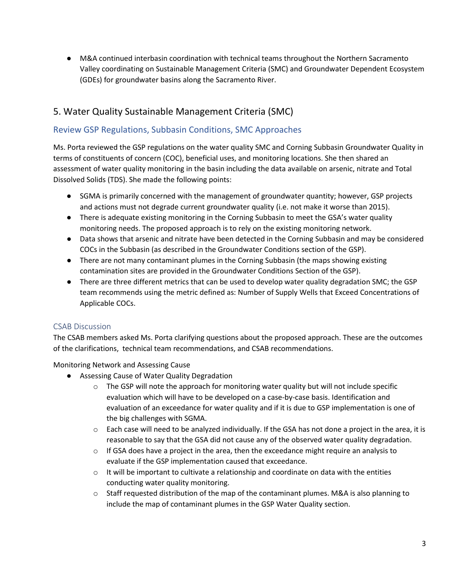● M&A continued interbasin coordination with technical teams throughout the Northern Sacramento Valley coordinating on Sustainable Management Criteria (SMC) and Groundwater Dependent Ecosystem (GDEs) for groundwater basins along the Sacramento River.

# 5. Water Quality Sustainable Management Criteria (SMC)

## Review GSP Regulations, Subbasin Conditions, SMC Approaches

Ms. Porta reviewed the GSP regulations on the water quality SMC and Corning Subbasin Groundwater Quality in terms of constituents of concern (COC), beneficial uses, and monitoring locations. She then shared an assessment of water quality monitoring in the basin including the data available on arsenic, nitrate and Total Dissolved Solids (TDS). She made the following points:

- SGMA is primarily concerned with the management of groundwater quantity; however, GSP projects and actions must not degrade current groundwater quality (i.e. not make it worse than 2015).
- There is adequate existing monitoring in the Corning Subbasin to meet the GSA's water quality monitoring needs. The proposed approach is to rely on the existing monitoring network.
- Data shows that arsenic and nitrate have been detected in the Corning Subbasin and may be considered COCs in the Subbasin (as described in the Groundwater Conditions section of the GSP).
- There are not many contaminant plumes in the Corning Subbasin (the maps showing existing contamination sites are provided in the Groundwater Conditions Section of the GSP).
- There are three different metrics that can be used to develop water quality degradation SMC; the GSP team recommends using the metric defined as: Number of Supply Wells that Exceed Concentrations of Applicable COCs.

## CSAB Discussion

The CSAB members asked Ms. Porta clarifying questions about the proposed approach. These are the outcomes of the clarifications, technical team recommendations, and CSAB recommendations.

Monitoring Network and Assessing Cause

- Assessing Cause of Water Quality Degradation
	- $\circ$  The GSP will note the approach for monitoring water quality but will not include specific evaluation which will have to be developed on a case-by-case basis. Identification and evaluation of an exceedance for water quality and if it is due to GSP implementation is one of the big challenges with SGMA.
	- o Each case will need to be analyzed individually. If the GSA has not done a project in the area, it is reasonable to say that the GSA did not cause any of the observed water quality degradation.
	- $\circ$  If GSA does have a project in the area, then the exceedance might require an analysis to evaluate if the GSP implementation caused that exceedance.
	- $\circ$  It will be important to cultivate a relationship and coordinate on data with the entities conducting water quality monitoring.
	- $\circ$  Staff requested distribution of the map of the contaminant plumes. M&A is also planning to include the map of contaminant plumes in the GSP Water Quality section.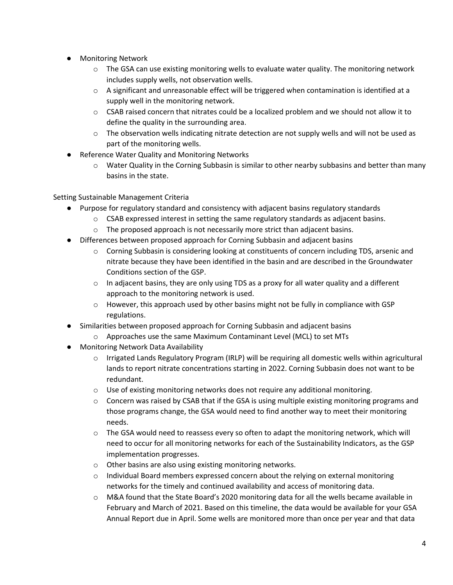- Monitoring Network
	- $\circ$  The GSA can use existing monitoring wells to evaluate water quality. The monitoring network includes supply wells, not observation wells.
	- $\circ$  A significant and unreasonable effect will be triggered when contamination is identified at a supply well in the monitoring network.
	- $\circ$  CSAB raised concern that nitrates could be a localized problem and we should not allow it to define the quality in the surrounding area.
	- $\circ$  The observation wells indicating nitrate detection are not supply wells and will not be used as part of the monitoring wells.
- Reference Water Quality and Monitoring Networks
	- $\circ$  Water Quality in the Corning Subbasin is similar to other nearby subbasins and better than many basins in the state.

Setting Sustainable Management Criteria

- Purpose for regulatory standard and consistency with adjacent basins regulatory standards
	- o CSAB expressed interest in setting the same regulatory standards as adjacent basins.
	- $\circ$  The proposed approach is not necessarily more strict than adjacent basins.
- Differences between proposed approach for Corning Subbasin and adjacent basins
	- $\circ$  Corning Subbasin is considering looking at constituents of concern including TDS, arsenic and nitrate because they have been identified in the basin and are described in the Groundwater Conditions section of the GSP.
	- $\circ$  In adjacent basins, they are only using TDS as a proxy for all water quality and a different approach to the monitoring network is used.
	- $\circ$  However, this approach used by other basins might not be fully in compliance with GSP regulations.
- Similarities between proposed approach for Corning Subbasin and adjacent basins
	- o Approaches use the same Maximum Contaminant Level (MCL) to set MTs
- Monitoring Network Data Availability
	- $\circ$  Irrigated Lands Regulatory Program (IRLP) will be requiring all domestic wells within agricultural lands to report nitrate concentrations starting in 2022. Corning Subbasin does not want to be redundant.
	- $\circ$  Use of existing monitoring networks does not require any additional monitoring.
	- $\circ$  Concern was raised by CSAB that if the GSA is using multiple existing monitoring programs and those programs change, the GSA would need to find another way to meet their monitoring needs.
	- $\circ$  The GSA would need to reassess every so often to adapt the monitoring network, which will need to occur for all monitoring networks for each of the Sustainability Indicators, as the GSP implementation progresses.
	- o Other basins are also using existing monitoring networks.
	- $\circ$  Individual Board members expressed concern about the relying on external monitoring networks for the timely and continued availability and access of monitoring data.
	- o M&A found that the State Board's 2020 monitoring data for all the wells became available in February and March of 2021. Based on this timeline, the data would be available for your GSA Annual Report due in April. Some wells are monitored more than once per year and that data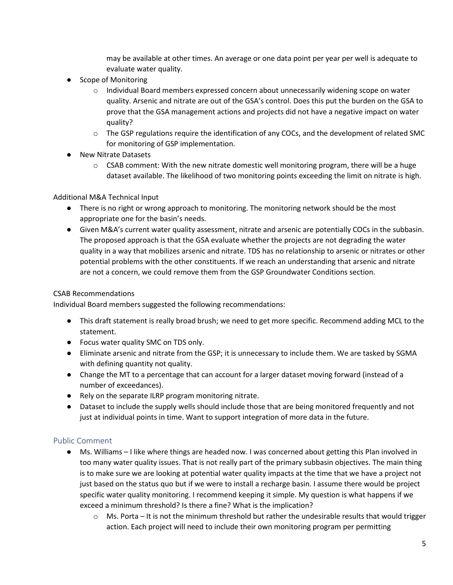may be available at other times. An average or one data point per year per well is adequate to evaluate water quality.

- Scope of Monitoring
	- $\circ$  Individual Board members expressed concern about unnecessarily widening scope on water quality. Arsenic and nitrate are out of the GSA's control. Does this put the burden on the GSA to prove that the GSA management actions and projects did not have a negative impact on water quality?
	- o The GSP regulations require the identification of any COCs, and the development of related SMC for monitoring of GSP implementation.
- New Nitrate Datasets
	- $\circ$  CSAB comment: With the new nitrate domestic well monitoring program, there will be a huge dataset available. The likelihood of two monitoring points exceeding the limit on nitrate is high.

#### Additional M&A Technical Input

- There is no right or wrong approach to monitoring. The monitoring network should be the most appropriate one for the basin's needs.
- Given M&A's current water quality assessment, nitrate and arsenic are potentially COCs in the subbasin. The proposed approach is that the GSA evaluate whether the projects are not degrading the water quality in a way that mobilizes arsenic and nitrate. TDS has no relationship to arsenic or nitrates or other potential problems with the other constituents. If we reach an understanding that arsenic and nitrate are not a concern, we could remove them from the GSP Groundwater Conditions section.

#### CSAB Recommendations

Individual Board members suggested the following recommendations:

- This draft statement is really broad brush; we need to get more specific. Recommend adding MCL to the statement.
- Focus water quality SMC on TDS only.
- Eliminate arsenic and nitrate from the GSP; it is unnecessary to include them. We are tasked by SGMA with defining quantity not quality.
- Change the MT to a percentage that can account for a larger dataset moving forward (instead of a number of exceedances).
- Rely on the separate ILRP program monitoring nitrate.
- Dataset to include the supply wells should include those that are being monitored frequently and not just at individual points in time. Want to support integration of more data in the future.

#### Public Comment

- Ms. Williams I like where things are headed now. I was concerned about getting this Plan involved in too many water quality issues. That is not really part of the primary subbasin objectives. The main thing is to make sure we are looking at potential water quality impacts at the time that we have a project not just based on the status quo but if we were to install a recharge basin. I assume there would be project specific water quality monitoring. I recommend keeping it simple. My question is what happens if we exceed a minimum threshold? Is there a fine? What is the implication?
	- $\circ$  Ms. Porta It is not the minimum threshold but rather the undesirable results that would trigger action. Each project will need to include their own monitoring program per permitting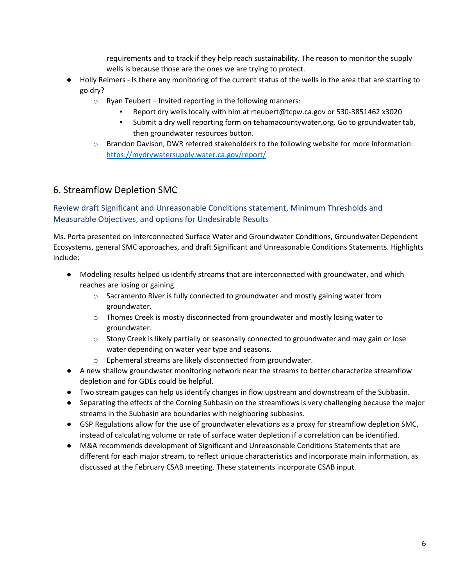requirements and to track if they help reach sustainability. The reason to monitor the supply wells is because those are the ones we are trying to protect.

- Holly Reimers Is there any monitoring of the current status of the wells in the area that are starting to go dry?
	- o Ryan Teubert Invited reporting in the following manners:
		- Report dry wells locally with him at rteubert@tcpw.ca.gov or 530-3851462 x3020
		- Submit a dry well reporting form on tehamacountywater.org. Go to groundwater tab, then groundwater resources button.
	- o Brandon Davison, DWR referred stakeholders to the following website for more information: <https://mydrywatersupply.water.ca.gov/report/>

# 6. Streamflow Depletion SMC

Review draft Significant and Unreasonable Conditions statement, Minimum Thresholds and Measurable Objectives, and options for Undesirable Results

Ms. Porta presented on Interconnected Surface Water and Groundwater Conditions, Groundwater Dependent Ecosystems, general SMC approaches, and draft Significant and Unreasonable Conditions Statements. Highlights include:

- Modeling results helped us identify streams that are interconnected with groundwater, and which reaches are losing or gaining.
	- $\circ$  Sacramento River is fully connected to groundwater and mostly gaining water from groundwater.
	- $\circ$  Thomes Creek is mostly disconnected from groundwater and mostly losing water to groundwater.
	- $\circ$  Stony Creek is likely partially or seasonally connected to groundwater and may gain or lose water depending on water year type and seasons.
	- o Ephemeral streams are likely disconnected from groundwater.
- A new shallow groundwater monitoring network near the streams to better characterize streamflow depletion and for GDEs could be helpful.
- Two stream gauges can help us identify changes in flow upstream and downstream of the Subbasin.
- Separating the effects of the Corning Subbasin on the streamflows is very challenging because the major streams in the Subbasin are boundaries with neighboring subbasins.
- GSP Regulations allow for the use of groundwater elevations as a proxy for streamflow depletion SMC, instead of calculating volume or rate of surface water depletion if a correlation can be identified.
- M&A recommends development of Significant and Unreasonable Conditions Statements that are different for each major stream, to reflect unique characteristics and incorporate main information, as discussed at the February CSAB meeting. These statements incorporate CSAB input.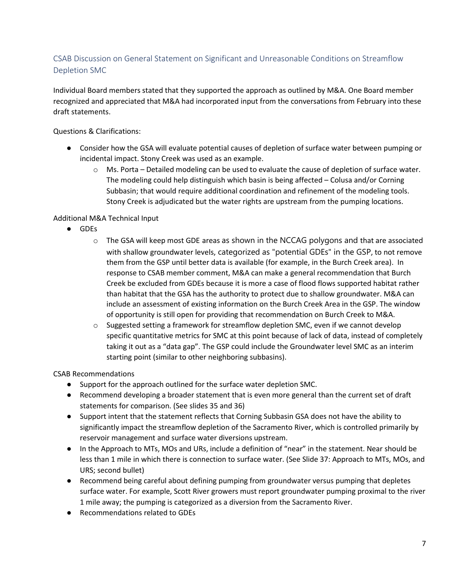## CSAB Discussion on General Statement on Significant and Unreasonable Conditions on Streamflow Depletion SMC

Individual Board members stated that they supported the approach as outlined by M&A. One Board member recognized and appreciated that M&A had incorporated input from the conversations from February into these draft statements.

Questions & Clarifications:

- Consider how the GSA will evaluate potential causes of depletion of surface water between pumping or incidental impact. Stony Creek was used as an example.
	- o Ms. Porta Detailed modeling can be used to evaluate the cause of depletion of surface water. The modeling could help distinguish which basin is being affected – Colusa and/or Corning Subbasin; that would require additional coordination and refinement of the modeling tools. Stony Creek is adjudicated but the water rights are upstream from the pumping locations.

#### Additional M&A Technical Input

- GDEs
	- o The GSA will keep most GDE areas as shown in the NCCAG polygons and that are associated with shallow groundwater levels, categorized as "potential GDEs" in the GSP, to not remove them from the GSP until better data is available (for example, in the Burch Creek area). In response to CSAB member comment, M&A can make a general recommendation that Burch Creek be excluded from GDEs because it is more a case of flood flows supported habitat rather than habitat that the GSA has the authority to protect due to shallow groundwater. M&A can include an assessment of existing information on the Burch Creek Area in the GSP. The window of opportunity is still open for providing that recommendation on Burch Creek to M&A.
	- $\circ$  Suggested setting a framework for streamflow depletion SMC, even if we cannot develop specific quantitative metrics for SMC at this point because of lack of data, instead of completely taking it out as a "data gap". The GSP could include the Groundwater level SMC as an interim starting point (similar to other neighboring subbasins).

CSAB Recommendations

- Support for the approach outlined for the surface water depletion SMC.
- Recommend developing a broader statement that is even more general than the current set of draft statements for comparison. (See slides 35 and 36)
- Support intent that the statement reflects that Corning Subbasin GSA does not have the ability to significantly impact the streamflow depletion of the Sacramento River, which is controlled primarily by reservoir management and surface water diversions upstream.
- In the Approach to MTs, MOs and URs, include a definition of "near" in the statement. Near should be less than 1 mile in which there is connection to surface water. (See Slide 37: Approach to MTs, MOs, and URS; second bullet)
- Recommend being careful about defining pumping from groundwater versus pumping that depletes surface water. For example, Scott River growers must report groundwater pumping proximal to the river 1 mile away; the pumping is categorized as a diversion from the Sacramento River.
- Recommendations related to GDEs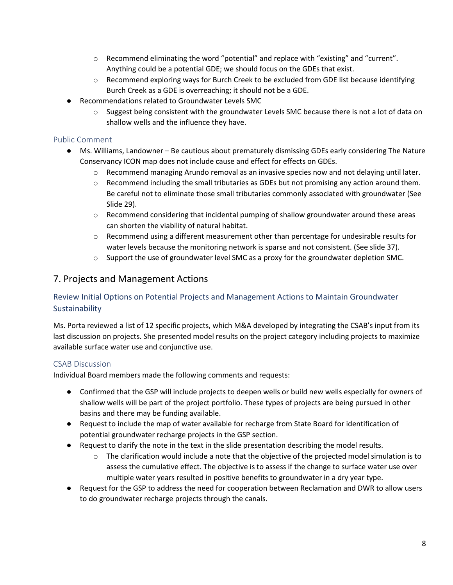- o Recommend eliminating the word "potential" and replace with "existing" and "current". Anything could be a potential GDE; we should focus on the GDEs that exist.
- $\circ$  Recommend exploring ways for Burch Creek to be excluded from GDE list because identifying Burch Creek as a GDE is overreaching; it should not be a GDE.
- Recommendations related to Groundwater Levels SMC
	- o Suggest being consistent with the groundwater Levels SMC because there is not a lot of data on shallow wells and the influence they have.

#### Public Comment

- Ms. Williams, Landowner Be cautious about prematurely dismissing GDEs early considering The Nature Conservancy ICON map does not include cause and effect for effects on GDEs.
	- $\circ$  Recommend managing Arundo removal as an invasive species now and not delaying until later.
	- $\circ$  Recommend including the small tributaries as GDEs but not promising any action around them. Be careful not to eliminate those small tributaries commonly associated with groundwater (See Slide 29).
	- $\circ$  Recommend considering that incidental pumping of shallow groundwater around these areas can shorten the viability of natural habitat.
	- $\circ$  Recommend using a different measurement other than percentage for undesirable results for water levels because the monitoring network is sparse and not consistent. (See slide 37).
	- $\circ$  Support the use of groundwater level SMC as a proxy for the groundwater depletion SMC.

### 7. Projects and Management Actions

### Review Initial Options on Potential Projects and Management Actions to Maintain Groundwater Sustainability

Ms. Porta reviewed a list of 12 specific projects, which M&A developed by integrating the CSAB's input from its last discussion on projects. She presented model results on the project category including projects to maximize available surface water use and conjunctive use.

#### CSAB Discussion

Individual Board members made the following comments and requests:

- Confirmed that the GSP will include projects to deepen wells or build new wells especially for owners of shallow wells will be part of the project portfolio. These types of projects are being pursued in other basins and there may be funding available.
- Request to include the map of water available for recharge from State Board for identification of potential groundwater recharge projects in the GSP section.
- Request to clarify the note in the text in the slide presentation describing the model results.
	- $\circ$  The clarification would include a note that the objective of the projected model simulation is to assess the cumulative effect. The objective is to assess if the change to surface water use over multiple water years resulted in positive benefits to groundwater in a dry year type.
- Request for the GSP to address the need for cooperation between Reclamation and DWR to allow users to do groundwater recharge projects through the canals.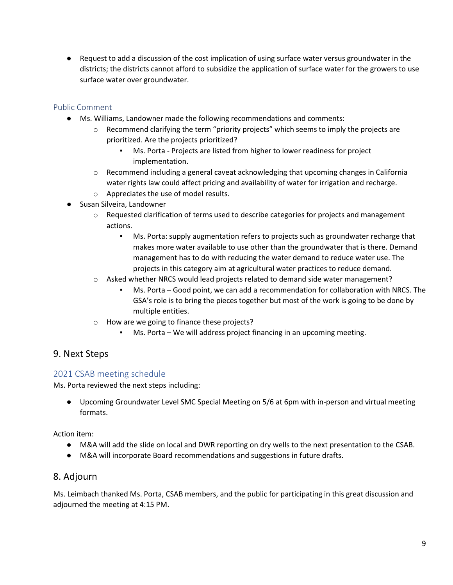● Request to add a discussion of the cost implication of using surface water versus groundwater in the districts; the districts cannot afford to subsidize the application of surface water for the growers to use surface water over groundwater.

### Public Comment

- Ms. Williams, Landowner made the following recommendations and comments:
	- $\circ$  Recommend clarifying the term "priority projects" which seems to imply the projects are prioritized. Are the projects prioritized?
		- Ms. Porta Projects are listed from higher to lower readiness for project implementation.
	- $\circ$  Recommend including a general caveat acknowledging that upcoming changes in California water rights law could affect pricing and availability of water for irrigation and recharge.
	- o Appreciates the use of model results.
- Susan Silveira, Landowner
	- $\circ$  Requested clarification of terms used to describe categories for projects and management actions.
		- Ms. Porta: supply augmentation refers to projects such as groundwater recharge that makes more water available to use other than the groundwater that is there. Demand management has to do with reducing the water demand to reduce water use. The projects in this category aim at agricultural water practices to reduce demand.
	- o Asked whether NRCS would lead projects related to demand side water management?
		- Ms. Porta Good point, we can add a recommendation for collaboration with NRCS. The GSA's role is to bring the pieces together but most of the work is going to be done by multiple entities.
	- o How are we going to finance these projects?
		- $Ms.$  Porta We will address project financing in an upcoming meeting.

# 9. Next Steps

## 2021 CSAB meeting schedule

Ms. Porta reviewed the next steps including:

● Upcoming Groundwater Level SMC Special Meeting on 5/6 at 6pm with in-person and virtual meeting formats.

Action item:

- M&A will add the slide on local and DWR reporting on dry wells to the next presentation to the CSAB.
- M&A will incorporate Board recommendations and suggestions in future drafts.

## 8. Adjourn

Ms. Leimbach thanked Ms. Porta, CSAB members, and the public for participating in this great discussion and adjourned the meeting at 4:15 PM.